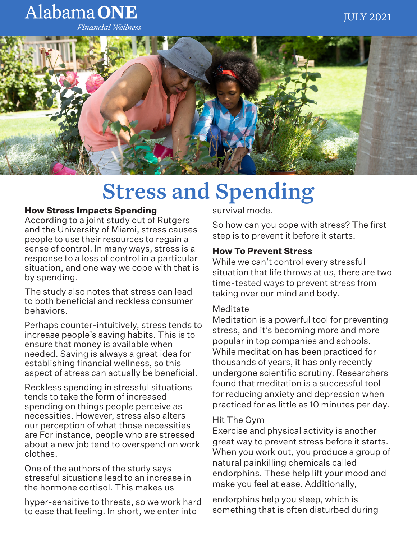# Alabama ONE

**Financial Wellness** 



# Stress and Spending

#### **How Stress Impacts Spending**

According to a joint study out of Rutgers and the University of Miami, stress causes people to use their resources to regain a sense of control. In many ways, stress is a response to a loss of control in a particular situation, and one way we cope with that is by spending.

The study also notes that stress can lead to both beneficial and reckless consumer behaviors.

Perhaps counter-intuitively, stress tends to increase people's saving habits. This is to ensure that money is available when needed. Saving is always a great idea for establishing financial wellness, so this aspect of stress can actually be beneficial.

Reckless spending in stressful situations tends to take the form of increased spending on things people perceive as necessities. However, stress also alters our perception of what those necessities are For instance, people who are stressed about a new job tend to overspend on work clothes.

One of the authors of the study says stressful situations lead to an increase in the hormone cortisol. This makes us

hyper-sensitive to threats, so we work hard to ease that feeling. In short, we enter into

survival mode.

So how can you cope with stress? The first step is to prevent it before it starts.

### **How To Prevent Stress**

While we can't control every stressful situation that life throws at us, there are two time-tested ways to prevent stress from taking over our mind and body.

#### Meditate

Meditation is a powerful tool for preventing stress, and it's becoming more and more popular in top companies and schools. While meditation has been practiced for thousands of years, it has only recently undergone scientific scrutiny. Researchers found that meditation is a successful tool for reducing anxiety and depression when practiced for as little as 10 minutes per day.

#### Hit The Gym

Exercise and physical activity is another great way to prevent stress before it starts. When you work out, you produce a group of natural painkilling chemicals called endorphins. These help lift your mood and make you feel at ease. Additionally,

endorphins help you sleep, which is something that is often disturbed during